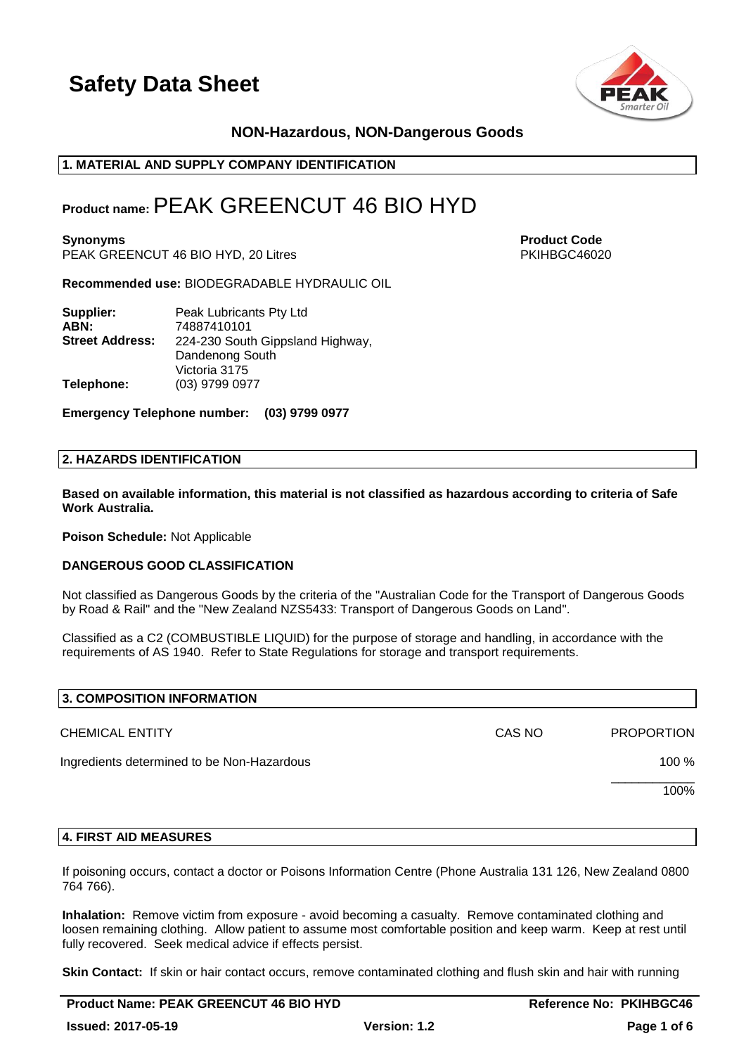



## **NON-Hazardous, NON-Dangerous Goods**

## **1. MATERIAL AND SUPPLY COMPANY IDENTIFICATION**

## **Product name:**PEAK GREENCUT 46 BIO HYD

**Synonyms Product Code** PEAK GREENCUT 46 BIO HYD, 20 Litres PHOTO AND REAK PRIME PRIME PRIME PRIME PRIME PRIME PRIME PRIME PRIME PRIME PRIME PRIME PRIME PRIME PRIME PRIME PRIME PRIME PRIME PRIME PRIME PRIME PRIME PRIME PRIME PRIME PRIME PRIME PRI

**Recommended use:** BIODEGRADABLE HYDRAULIC OIL

| Supplier:              | Peak Lubricants Pty Ltd          |
|------------------------|----------------------------------|
| ABN:                   | 74887410101                      |
| <b>Street Address:</b> | 224-230 South Gippsland Highway, |
|                        | Dandenong South                  |
|                        | Victoria 3175                    |
| Telephone:             | (03) 9799 0977                   |

**Emergency Telephone number: (03) 9799 0977**

#### **2. HAZARDS IDENTIFICATION**

**Based on available information, this material is not classified as hazardous according to criteria of Safe Work Australia.**

**Poison Schedule:** Not Applicable

#### **DANGEROUS GOOD CLASSIFICATION**

Not classified as Dangerous Goods by the criteria of the "Australian Code for the Transport of Dangerous Goods by Road & Rail" and the "New Zealand NZS5433: Transport of Dangerous Goods on Land".

Classified as a C2 (COMBUSTIBLE LIQUID) for the purpose of storage and handling, in accordance with the requirements of AS 1940. Refer to State Regulations for storage and transport requirements.

| 3. COMPOSITION INFORMATION                 |        |                   |
|--------------------------------------------|--------|-------------------|
| <b>CHEMICAL ENTITY</b>                     | CAS NO | <b>PROPORTION</b> |
| Ingredients determined to be Non-Hazardous |        | 100 %             |
|                                            |        | 100%              |
|                                            |        |                   |

#### **4. FIRST AID MEASURES**

If poisoning occurs, contact a doctor or Poisons Information Centre (Phone Australia 131 126, New Zealand 0800 764 766).

**Inhalation:** Remove victim from exposure - avoid becoming a casualty. Remove contaminated clothing and loosen remaining clothing. Allow patient to assume most comfortable position and keep warm. Keep at rest until fully recovered. Seek medical advice if effects persist.

**Skin Contact:** If skin or hair contact occurs, remove contaminated clothing and flush skin and hair with running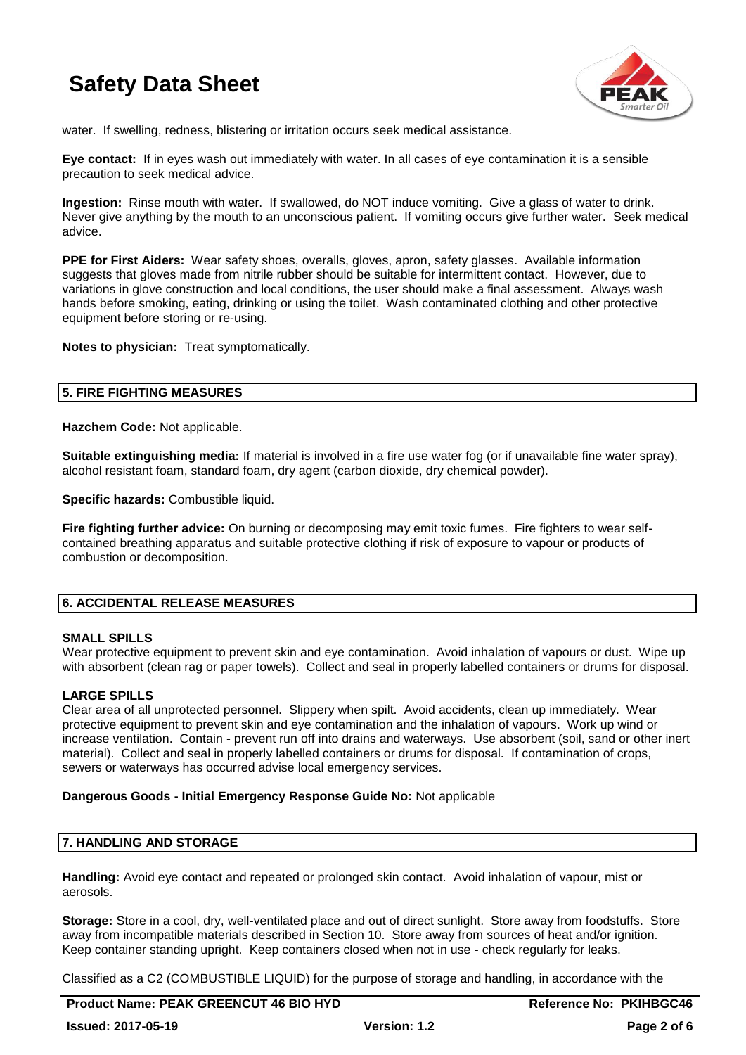

water. If swelling, redness, blistering or irritation occurs seek medical assistance.

**Eye contact:** If in eyes wash out immediately with water. In all cases of eye contamination it is a sensible precaution to seek medical advice.

**Ingestion:** Rinse mouth with water. If swallowed, do NOT induce vomiting. Give a glass of water to drink. Never give anything by the mouth to an unconscious patient. If vomiting occurs give further water. Seek medical advice.

**PPE for First Aiders:** Wear safety shoes, overalls, gloves, apron, safety glasses. Available information suggests that gloves made from nitrile rubber should be suitable for intermittent contact. However, due to variations in glove construction and local conditions, the user should make a final assessment. Always wash hands before smoking, eating, drinking or using the toilet. Wash contaminated clothing and other protective equipment before storing or re-using.

**Notes to physician:** Treat symptomatically.

## **5. FIRE FIGHTING MEASURES**

**Hazchem Code:** Not applicable.

**Suitable extinguishing media:** If material is involved in a fire use water fog (or if unavailable fine water spray), alcohol resistant foam, standard foam, dry agent (carbon dioxide, dry chemical powder).

**Specific hazards: Combustible liquid.** 

**Fire fighting further advice:** On burning or decomposing may emit toxic fumes. Fire fighters to wear selfcontained breathing apparatus and suitable protective clothing if risk of exposure to vapour or products of combustion or decomposition.

## **6. ACCIDENTAL RELEASE MEASURES**

#### **SMALL SPILLS**

Wear protective equipment to prevent skin and eye contamination. Avoid inhalation of vapours or dust. Wipe up with absorbent (clean rag or paper towels). Collect and seal in properly labelled containers or drums for disposal.

## **LARGE SPILLS**

Clear area of all unprotected personnel. Slippery when spilt. Avoid accidents, clean up immediately. Wear protective equipment to prevent skin and eye contamination and the inhalation of vapours. Work up wind or increase ventilation. Contain - prevent run off into drains and waterways. Use absorbent (soil, sand or other inert material). Collect and seal in properly labelled containers or drums for disposal. If contamination of crops, sewers or waterways has occurred advise local emergency services.

#### **Dangerous Goods - Initial Emergency Response Guide No:** Not applicable

## **7. HANDLING AND STORAGE**

**Handling:** Avoid eye contact and repeated or prolonged skin contact. Avoid inhalation of vapour, mist or aerosols.

**Storage:** Store in a cool, dry, well-ventilated place and out of direct sunlight. Store away from foodstuffs. Store away from incompatible materials described in Section 10. Store away from sources of heat and/or ignition. Keep container standing upright. Keep containers closed when not in use - check regularly for leaks.

Classified as a C2 (COMBUSTIBLE LIQUID) for the purpose of storage and handling, in accordance with the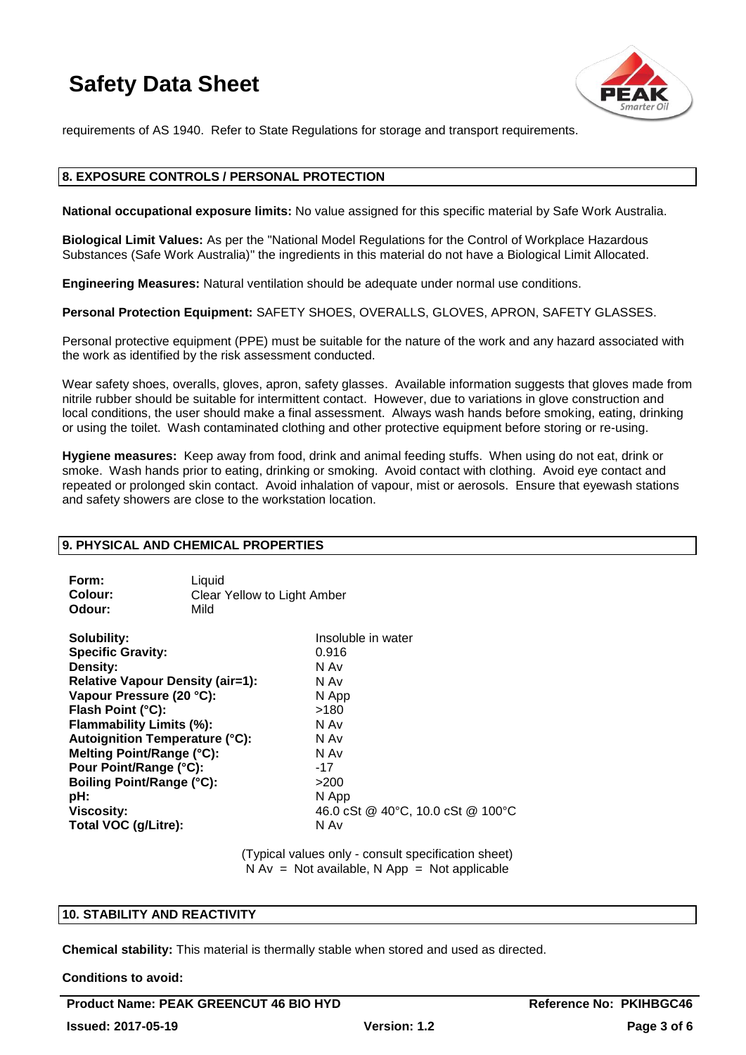

requirements of AS 1940. Refer to State Regulations for storage and transport requirements.

## **8. EXPOSURE CONTROLS / PERSONAL PROTECTION**

**National occupational exposure limits:** No value assigned for this specific material by Safe Work Australia.

**Biological Limit Values:** As per the "National Model Regulations for the Control of Workplace Hazardous Substances (Safe Work Australia)" the ingredients in this material do not have a Biological Limit Allocated.

**Engineering Measures:** Natural ventilation should be adequate under normal use conditions.

**Personal Protection Equipment:** SAFETY SHOES, OVERALLS, GLOVES, APRON, SAFETY GLASSES.

Personal protective equipment (PPE) must be suitable for the nature of the work and any hazard associated with the work as identified by the risk assessment conducted.

Wear safety shoes, overalls, gloves, apron, safety glasses. Available information suggests that gloves made from nitrile rubber should be suitable for intermittent contact. However, due to variations in glove construction and local conditions, the user should make a final assessment. Always wash hands before smoking, eating, drinking or using the toilet. Wash contaminated clothing and other protective equipment before storing or re-using.

**Hygiene measures:** Keep away from food, drink and animal feeding stuffs. When using do not eat, drink or smoke. Wash hands prior to eating, drinking or smoking. Avoid contact with clothing. Avoid eye contact and repeated or prolonged skin contact. Avoid inhalation of vapour, mist or aerosols. Ensure that eyewash stations and safety showers are close to the workstation location.

## **9. PHYSICAL AND CHEMICAL PROPERTIES**

| Form:   | Liauid                      |
|---------|-----------------------------|
| Colour: | Clear Yellow to Light Amber |
| Odour:  | Mild                        |

| Insoluble in water                |
|-----------------------------------|
| 0.916                             |
| N Av                              |
| N Av                              |
| N App                             |
| >180                              |
| N Av                              |
| N Av                              |
| N Av                              |
| $-17$                             |
| >200                              |
| N App                             |
| 46.0 cSt @ 40°C, 10.0 cSt @ 100°C |
| N Av                              |
|                                   |

(Typical values only - consult specification sheet)  $N Av = Not available, N App = Not applicable$ 

## **10. STABILITY AND REACTIVITY**

**Chemical stability:** This material is thermally stable when stored and used as directed.

**Conditions to avoid:**

Product Name: PEAK GREENCUT 46 BIO HYD **Reference No: PKIHBGC46 Issued: 2017-05-19 Version: 1.2 Page 3 of 6**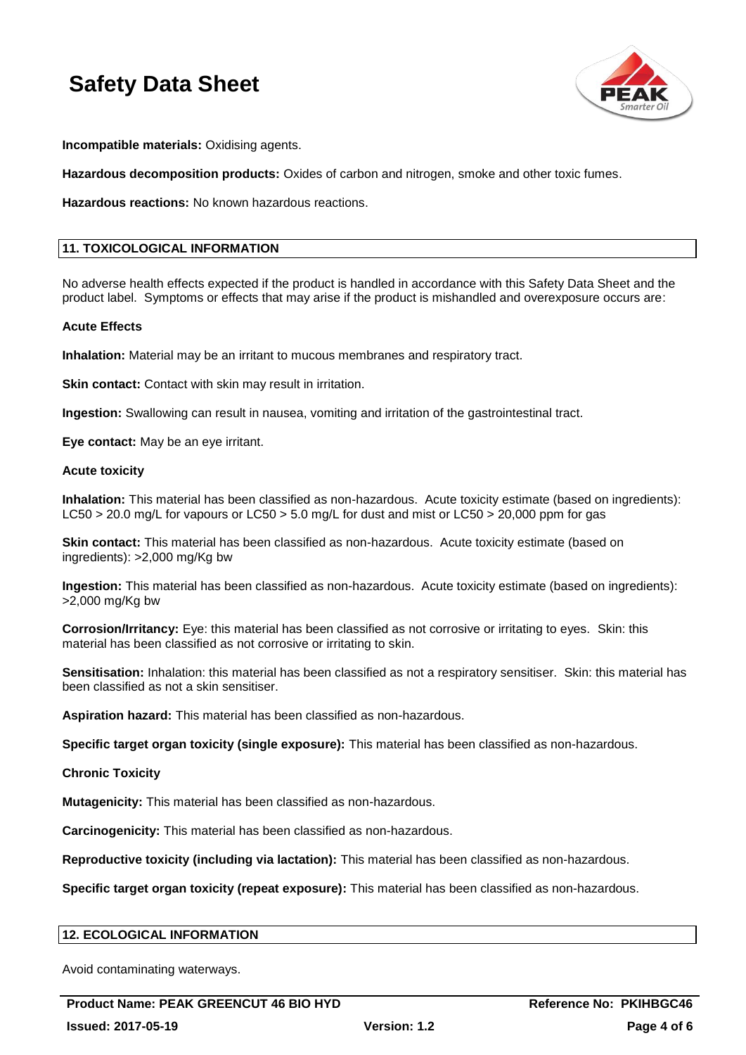

**Incompatible materials:** Oxidising agents.

**Hazardous decomposition products:** Oxides of carbon and nitrogen, smoke and other toxic fumes.

**Hazardous reactions:** No known hazardous reactions.

## **11. TOXICOLOGICAL INFORMATION**

No adverse health effects expected if the product is handled in accordance with this Safety Data Sheet and the product label. Symptoms or effects that may arise if the product is mishandled and overexposure occurs are:

#### **Acute Effects**

**Inhalation:** Material may be an irritant to mucous membranes and respiratory tract.

**Skin contact:** Contact with skin may result in irritation.

**Ingestion:** Swallowing can result in nausea, vomiting and irritation of the gastrointestinal tract.

**Eye contact:** May be an eye irritant.

#### **Acute toxicity**

**Inhalation:** This material has been classified as non-hazardous. Acute toxicity estimate (based on ingredients): LC50 > 20.0 mg/L for vapours or LC50 > 5.0 mg/L for dust and mist or LC50 > 20,000 ppm for gas

**Skin contact:** This material has been classified as non-hazardous. Acute toxicity estimate (based on ingredients): >2,000 mg/Kg bw

**Ingestion:** This material has been classified as non-hazardous. Acute toxicity estimate (based on ingredients): >2,000 mg/Kg bw

**Corrosion/Irritancy:** Eye: this material has been classified as not corrosive or irritating to eyes. Skin: this material has been classified as not corrosive or irritating to skin.

**Sensitisation:** Inhalation: this material has been classified as not a respiratory sensitiser. Skin: this material has been classified as not a skin sensitiser.

**Aspiration hazard:** This material has been classified as non-hazardous.

**Specific target organ toxicity (single exposure):** This material has been classified as non-hazardous.

**Chronic Toxicity**

**Mutagenicity:** This material has been classified as non-hazardous.

**Carcinogenicity:** This material has been classified as non-hazardous.

**Reproductive toxicity (including via lactation):** This material has been classified as non-hazardous.

**Specific target organ toxicity (repeat exposure):** This material has been classified as non-hazardous.

## **12. ECOLOGICAL INFORMATION**

Avoid contaminating waterways.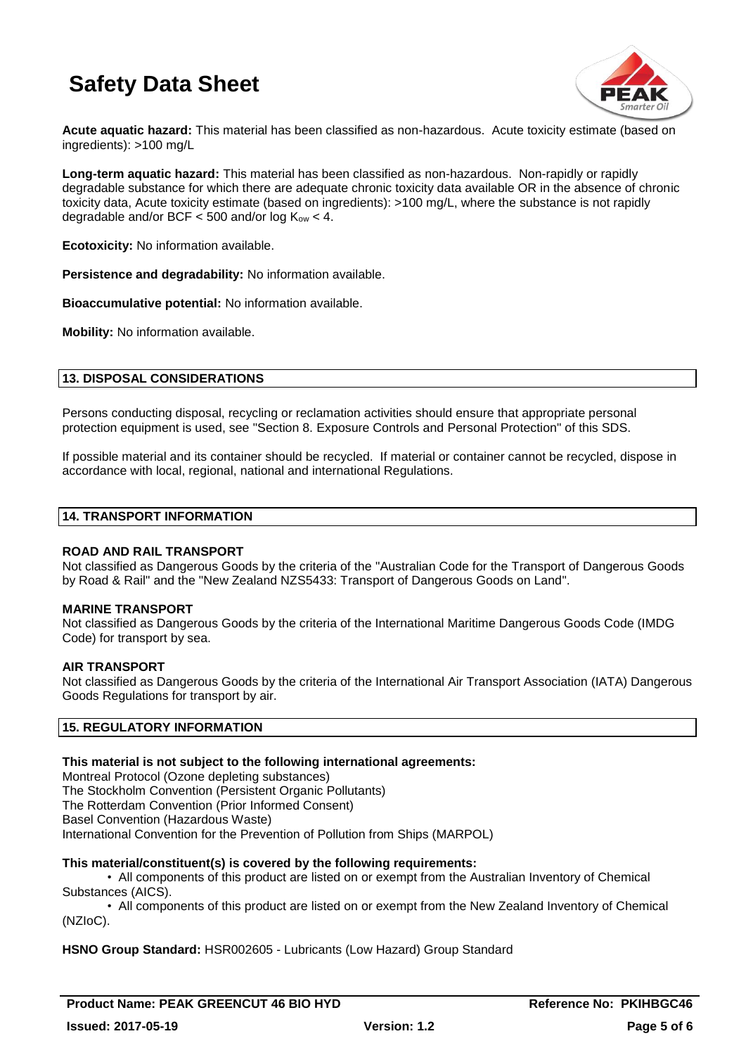

**Acute aquatic hazard:** This material has been classified as non-hazardous. Acute toxicity estimate (based on ingredients): >100 mg/L

**Long-term aquatic hazard:** This material has been classified as non-hazardous. Non-rapidly or rapidly degradable substance for which there are adequate chronic toxicity data available OR in the absence of chronic toxicity data, Acute toxicity estimate (based on ingredients): >100 mg/L, where the substance is not rapidly degradable and/or BCF  $<$  500 and/or log  $K_{ow}$   $<$  4.

**Ecotoxicity:** No information available.

**Persistence and degradability:** No information available.

**Bioaccumulative potential:** No information available.

**Mobility:** No information available.

## **13. DISPOSAL CONSIDERATIONS**

Persons conducting disposal, recycling or reclamation activities should ensure that appropriate personal protection equipment is used, see "Section 8. Exposure Controls and Personal Protection" of this SDS.

If possible material and its container should be recycled. If material or container cannot be recycled, dispose in accordance with local, regional, national and international Regulations.

#### **14. TRANSPORT INFORMATION**

#### **ROAD AND RAIL TRANSPORT**

Not classified as Dangerous Goods by the criteria of the "Australian Code for the Transport of Dangerous Goods by Road & Rail" and the "New Zealand NZS5433: Transport of Dangerous Goods on Land".

#### **MARINE TRANSPORT**

Not classified as Dangerous Goods by the criteria of the International Maritime Dangerous Goods Code (IMDG Code) for transport by sea.

#### **AIR TRANSPORT**

Not classified as Dangerous Goods by the criteria of the International Air Transport Association (IATA) Dangerous Goods Regulations for transport by air.

## **15. REGULATORY INFORMATION**

#### **This material is not subject to the following international agreements:**

Montreal Protocol (Ozone depleting substances) The Stockholm Convention (Persistent Organic Pollutants) The Rotterdam Convention (Prior Informed Consent) Basel Convention (Hazardous Waste) International Convention for the Prevention of Pollution from Ships (MARPOL)

## **This material/constituent(s) is covered by the following requirements:**

• All components of this product are listed on or exempt from the Australian Inventory of Chemical Substances (AICS).

• All components of this product are listed on or exempt from the New Zealand Inventory of Chemical (NZIoC).

## **HSNO Group Standard:** HSR002605 - Lubricants (Low Hazard) Group Standard